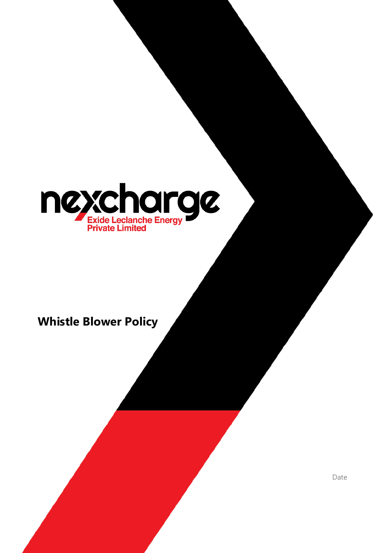

# **Whistle Blower Policy**

Date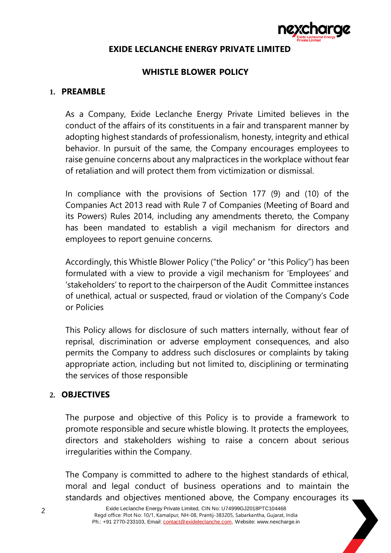

# **EXIDE LECLANCHE ENERGY PRIVATE LIMITED**

# **WHISTLE BLOWER POLICY**

#### **1. PREAMBLE**

As a Company, Exide Leclanche Energy Private Limited believes in the conduct of the affairs of its constituents in a fair and transparent manner by adopting highest standards of professionalism, honesty, integrity and ethical behavior. In pursuit of the same, the Company encourages employees to raise genuine concerns about any malpractices in the workplace without fear of retaliation and will protect them from victimization or dismissal.

In compliance with the provisions of Section 177 (9) and (10) of the Companies Act 2013 read with Rule 7 of Companies (Meeting of Board and its Powers) Rules 2014, including any amendments thereto, the Company has been mandated to establish a vigil mechanism for directors and employees to report genuine concerns.

Accordingly, this Whistle Blower Policy ("the Policy" or "this Policy") has been formulated with a view to provide a vigil mechanism for 'Employees' and 'stakeholders' to report to the chairperson of the Audit Committee instances of unethical, actual or suspected, fraud or violation of the Company's Code or Policies

This Policy allows for disclosure of such matters internally, without fear of reprisal, discrimination or adverse employment consequences, and also permits the Company to address such disclosures or complaints by taking appropriate action, including but not limited to, disciplining or terminating the services of those responsible

# **2. OBJECTIVES**

The purpose and objective of this Policy is to provide a framework to promote responsible and secure whistle blowing. It protects the employees, directors and stakeholders wishing to raise a concern about serious irregularities within the Company.

The Company is committed to adhere to the highest standards of ethical, moral and legal conduct of business operations and to maintain the standards and objectives mentioned above, the Company encourages its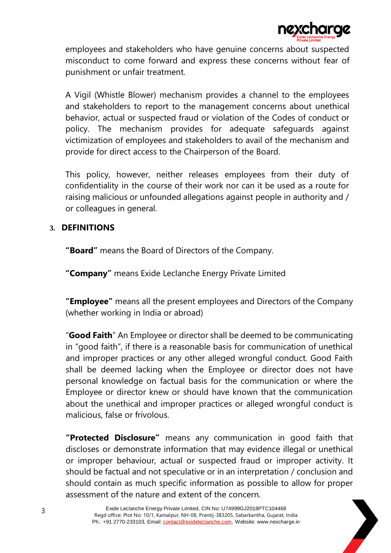

employees and stakeholders who have genuine concerns about suspected misconduct to come forward and express these concerns without fear of punishment or unfair treatment.

A Vigil (Whistle Blower) mechanism provides a channel to the employees and stakeholders to report to the management concerns about unethical behavior, actual or suspected fraud or violation of the Codes of conduct or policy. The mechanism provides for adequate safeguards against victimization of employees and stakeholders to avail of the mechanism and provide for direct access to the Chairperson of the Board.

This policy, however, neither releases employees from their duty of confidentiality in the course of their work nor can it be used as a route for raising malicious or unfounded allegations against people in authority and / or colleagues in general.

# **3. DEFINITIONS**

**"Board"** means the Board of Directors of the Company.

**"Company"** means Exide Leclanche Energy Private Limited

**"Employee"** means all the present employees and Directors of the Company (whether working in India or abroad)

"**Good Faith**" An Employee or director shall be deemed to be communicating in "good faith", if there is a reasonable basis for communication of unethical and improper practices or any other alleged wrongful conduct. Good Faith shall be deemed lacking when the Employee or director does not have personal knowledge on factual basis for the communication or where the Employee or director knew or should have known that the communication about the unethical and improper practices or alleged wrongful conduct is malicious, false or frivolous.

**"Protected Disclosure"** means any communication in good faith that discloses or demonstrate information that may evidence illegal or unethical or improper behaviour, actual or suspected fraud or improper activity. It should be factual and not speculative or in an interpretation / conclusion and should contain as much specific information as possible to allow for proper assessment of the nature and extent of the concern.

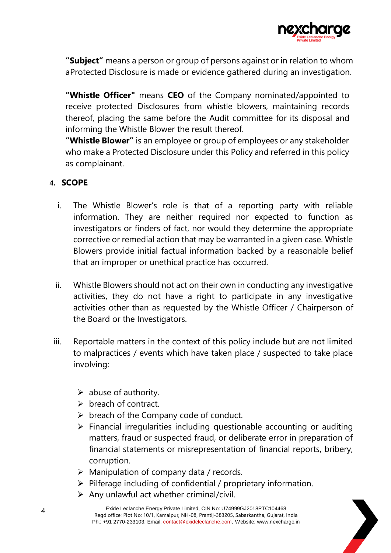

**"Subject"** means a person or group of persons against or in relation to whom aProtected Disclosure is made or evidence gathered during an investigation.

**"Whistle Officer"** means **CEO** of the Company nominated/appointed to receive protected Disclosures from whistle blowers, maintaining records thereof, placing the same before the Audit committee for its disposal and informing the Whistle Blower the result thereof.

**"Whistle Blower"** is an employee or group of employees or any stakeholder who make a Protected Disclosure under this Policy and referred in this policy as complainant.

# **4. SCOPE**

- i. The Whistle Blower's role is that of a reporting party with reliable information. They are neither required nor expected to function as investigators or finders of fact, nor would they determine the appropriate corrective or remedial action that may be warranted in a given case. Whistle Blowers provide initial factual information backed by a reasonable belief that an improper or unethical practice has occurred.
- ii. Whistle Blowers should not act on their own in conducting any investigative activities, they do not have a right to participate in any investigative activities other than as requested by the Whistle Officer / Chairperson of the Board or the Investigators.
- iii. Reportable matters in the context of this policy include but are not limited to malpractices / events which have taken place / suspected to take place involving:
	- $\triangleright$  abuse of authority.
	- $\triangleright$  breach of contract.
	- $\triangleright$  breach of the Company code of conduct.
	- $\triangleright$  Financial irregularities including questionable accounting or auditing matters, fraud or suspected fraud, or deliberate error in preparation of financial statements or misrepresentation of financial reports, bribery, corruption.
	- $\triangleright$  Manipulation of company data / records.
	- $\triangleright$  Pilferage including of confidential / proprietary information.
	- $\triangleright$  Any unlawful act whether criminal/civil.

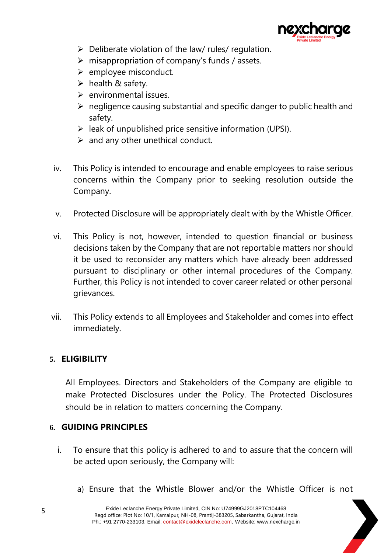

- $\triangleright$  Deliberate violation of the law/ rules/ regulation.
- $\triangleright$  misappropriation of company's funds / assets.
- $\triangleright$  employee misconduct.
- $\triangleright$  health & safety.
- $\triangleright$  environmental issues.
- $\triangleright$  negligence causing substantial and specific danger to public health and safety.
- $\triangleright$  leak of unpublished price sensitive information (UPSI).
- $\triangleright$  and any other unethical conduct.
- iv. This Policy is intended to encourage and enable employees to raise serious concerns within the Company prior to seeking resolution outside the Company.
- v. Protected Disclosure will be appropriately dealt with by the Whistle Officer.
- vi. This Policy is not, however, intended to question financial or business decisions taken by the Company that are not reportable matters nor should it be used to reconsider any matters which have already been addressed pursuant to disciplinary or other internal procedures of the Company. Further, this Policy is not intended to cover career related or other personal grievances.
- vii. This Policy extends to all Employees and Stakeholder and comes into effect immediately.

# **5. ELIGIBILITY**

All Employees. Directors and Stakeholders of the Company are eligible to make Protected Disclosures under the Policy. The Protected Disclosures should be in relation to matters concerning the Company.

# **6. GUIDING PRINCIPLES**

- i. To ensure that this policy is adhered to and to assure that the concern will be acted upon seriously, the Company will:
	- a) Ensure that the Whistle Blower and/or the Whistle Officer is not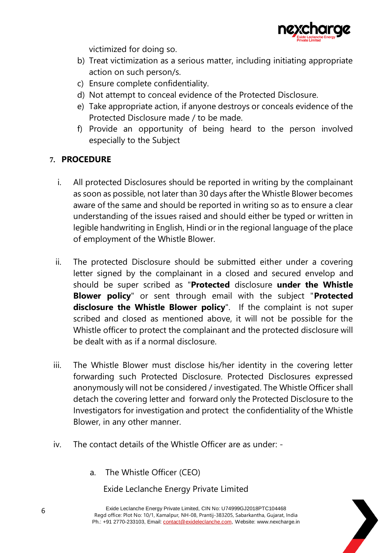

victimized for doing so.

- b) Treat victimization as a serious matter, including initiating appropriate action on such person/s.
- c) Ensure complete confidentiality.
- d) Not attempt to conceal evidence of the Protected Disclosure.
- e) Take appropriate action, if anyone destroys or conceals evidence of the Protected Disclosure made / to be made.
- f) Provide an opportunity of being heard to the person involved especially to the Subject

# **7. PROCEDURE**

- i. All protected Disclosures should be reported in writing by the complainant as soon as possible, not later than 30 days after the Whistle Blower becomes aware of the same and should be reported in writing so as to ensure a clear understanding of the issues raised and should either be typed or written in legible handwriting in English, Hindi or in the regional language of the place of employment of the Whistle Blower.
- ii. The protected Disclosure should be submitted either under a covering letter signed by the complainant in a closed and secured envelop and should be super scribed as "**Protected** disclosure **under the Whistle Blower policy**" or sent through email with the subject "**Protected disclosure the Whistle Blower policy**". If the complaint is not super scribed and closed as mentioned above, it will not be possible for the Whistle officer to protect the complainant and the protected disclosure will be dealt with as if a normal disclosure.
- iii. The Whistle Blower must disclose his/her identity in the covering letter forwarding such Protected Disclosure. Protected Disclosures expressed anonymously will not be considered / investigated. The Whistle Officer shall detach the covering letter and forward only the Protected Disclosure to the Investigators for investigation and protect the confidentiality of the Whistle Blower, in any other manner.
- iv. The contact details of the Whistle Officer are as under:
	- a. The Whistle Officer (CEO)

Exide Leclanche Energy Private Limited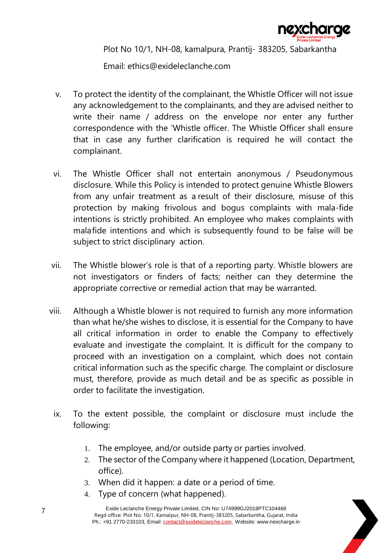

Plot No 10/1, NH-08, kamalpura, Prantij- 383205, Sabarkantha

Email: ethics@exideleclanche.com

- v. To protect the identity of the complainant, the Whistle Officer will not issue any acknowledgement to the complainants, and they are advised neither to write their name / address on the envelope nor enter any further correspondence with the 'Whistle officer. The Whistle Officer shall ensure that in case any further clarification is required he will contact the complainant.
- vi. The Whistle Officer shall not entertain anonymous / Pseudonymous disclosure. While this Policy is intended to protect genuine Whistle Blowers from any unfair treatment as a result of their disclosure, misuse of this protection by making frivolous and bogus complaints with mala-fide intentions is strictly prohibited. An employee who makes complaints with malafide intentions and which is subsequently found to be false will be subject to strict disciplinary action.
- vii. The Whistle blower's role is that of a reporting party. Whistle blowers are not investigators or finders of facts; neither can they determine the appropriate corrective or remedial action that may be warranted.
- viii. Although a Whistle blower is not required to furnish any more information than what he/she wishes to disclose, it is essential for the Company to have all critical information in order to enable the Company to effectively evaluate and investigate the complaint. It is difficult for the company to proceed with an investigation on a complaint, which does not contain critical information such as the specific charge. The complaint or disclosure must, therefore, provide as much detail and be as specific as possible in order to facilitate the investigation.
	- ix. To the extent possible, the complaint or disclosure must include the following:
		- 1. The employee, and/or outside party or parties involved.
		- 2. The sector of the Company where it happened (Location, Department, office).
		- 3. When did it happen: a date or a period of time.
		- 4. Type of concern (what happened).

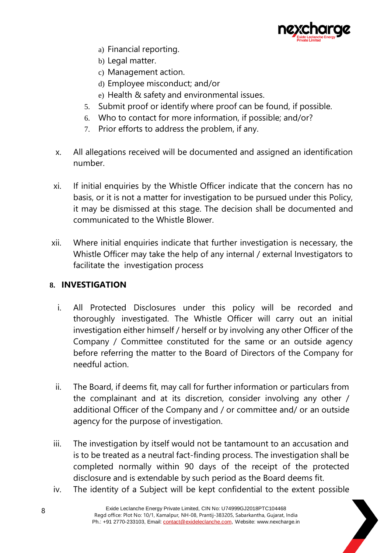

- a) Financial reporting.
- b) Legal matter.
- c) Management action.
- d) Employee misconduct; and/or
- e) Health & safety and environmental issues.
- 5. Submit proof or identify where proof can be found, if possible.
- 6. Who to contact for more information, if possible; and/or?
- 7. Prior efforts to address the problem, if any.
- x. All allegations received will be documented and assigned an identification number.
- xi. If initial enquiries by the Whistle Officer indicate that the concern has no basis, or it is not a matter for investigation to be pursued under this Policy, it may be dismissed at this stage. The decision shall be documented and communicated to the Whistle Blower.
- xii. Where initial enquiries indicate that further investigation is necessary, the Whistle Officer may take the help of any internal / external Investigators to facilitate the investigation process

# **8. INVESTIGATION**

- i. All Protected Disclosures under this policy will be recorded and thoroughly investigated. The Whistle Officer will carry out an initial investigation either himself / herself or by involving any other Officer of the Company / Committee constituted for the same or an outside agency before referring the matter to the Board of Directors of the Company for needful action.
- ii. The Board, if deems fit, may call for further information or particulars from the complainant and at its discretion, consider involving any other / additional Officer of the Company and / or committee and/ or an outside agency for the purpose of investigation.
- iii. The investigation by itself would not be tantamount to an accusation and is to be treated as a neutral fact-finding process. The investigation shall be completed normally within 90 days of the receipt of the protected disclosure and is extendable by such period as the Board deems fit.
- iv. The identity of a Subject will be kept confidential to the extent possible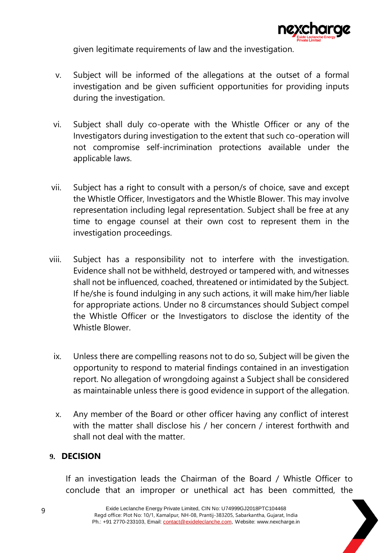

given legitimate requirements of law and the investigation.

- v. Subject will be informed of the allegations at the outset of a formal investigation and be given sufficient opportunities for providing inputs during the investigation.
- vi. Subject shall duly co-operate with the Whistle Officer or any of the Investigators during investigation to the extent that such co-operation will not compromise self-incrimination protections available under the applicable laws.
- vii. Subject has a right to consult with a person/s of choice, save and except the Whistle Officer, Investigators and the Whistle Blower. This may involve representation including legal representation. Subject shall be free at any time to engage counsel at their own cost to represent them in the investigation proceedings.
- viii. Subject has a responsibility not to interfere with the investigation. Evidence shall not be withheld, destroyed or tampered with, and witnesses shall not be influenced, coached, threatened or intimidated by the Subject. If he/she is found indulging in any such actions, it will make him/her liable for appropriate actions. Under no 8 circumstances should Subject compel the Whistle Officer or the Investigators to disclose the identity of the Whistle Blower.
	- ix. Unless there are compelling reasons not to do so, Subject will be given the opportunity to respond to material findings contained in an investigation report. No allegation of wrongdoing against a Subject shall be considered as maintainable unless there is good evidence in support of the allegation.
	- x. Any member of the Board or other officer having any conflict of interest with the matter shall disclose his / her concern / interest forthwith and shall not deal with the matter.

# **9. DECISION**

If an investigation leads the Chairman of the Board / Whistle Officer to conclude that an improper or unethical act has been committed, the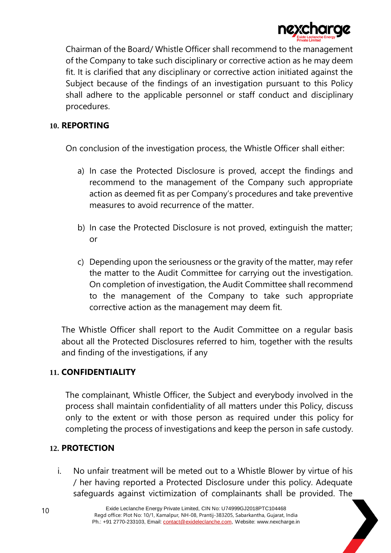

Chairman of the Board/ Whistle Officer shall recommend to the management of the Company to take such disciplinary or corrective action as he may deem fit. It is clarified that any disciplinary or corrective action initiated against the Subject because of the findings of an investigation pursuant to this Policy shall adhere to the applicable personnel or staff conduct and disciplinary procedures.

### **10. REPORTING**

On conclusion of the investigation process, the Whistle Officer shall either:

- a) In case the Protected Disclosure is proved, accept the findings and recommend to the management of the Company such appropriate action as deemed fit as per Company's procedures and take preventive measures to avoid recurrence of the matter.
- b) In case the Protected Disclosure is not proved, extinguish the matter; or
- c) Depending upon the seriousness or the gravity of the matter, may refer the matter to the Audit Committee for carrying out the investigation. On completion of investigation, the Audit Committee shall recommend to the management of the Company to take such appropriate corrective action as the management may deem fit.

The Whistle Officer shall report to the Audit Committee on a regular basis about all the Protected Disclosures referred to him, together with the results and finding of the investigations, if any

# **11. CONFIDENTIALITY**

The complainant, Whistle Officer, the Subject and everybody involved in the process shall maintain confidentiality of all matters under this Policy, discuss only to the extent or with those person as required under this policy for completing the process of investigations and keep the person in safe custody.

# **12. PROTECTION**

i. No unfair treatment will be meted out to a Whistle Blower by virtue of his / her having reported a Protected Disclosure under this policy. Adequate safeguards against victimization of complainants shall be provided. The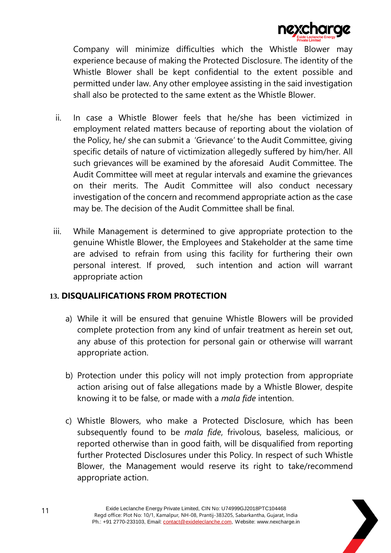

Company will minimize difficulties which the Whistle Blower may experience because of making the Protected Disclosure. The identity of the Whistle Blower shall be kept confidential to the extent possible and permitted under law. Any other employee assisting in the said investigation shall also be protected to the same extent as the Whistle Blower.

- ii. In case a Whistle Blower feels that he/she has been victimized in employment related matters because of reporting about the violation of the Policy, he/ she can submit a 'Grievance' to the Audit Committee, giving specific details of nature of victimization allegedly suffered by him/her. All such grievances will be examined by the aforesaid Audit Committee. The Audit Committee will meet at regular intervals and examine the grievances on their merits. The Audit Committee will also conduct necessary investigation of the concern and recommend appropriate action as the case may be. The decision of the Audit Committee shall be final.
- iii. While Management is determined to give appropriate protection to the genuine Whistle Blower, the Employees and Stakeholder at the same time are advised to refrain from using this facility for furthering their own personal interest. If proved, such intention and action will warrant appropriate action

# **13. DISQUALIFICATIONS FROM PROTECTION**

- a) While it will be ensured that genuine Whistle Blowers will be provided complete protection from any kind of unfair treatment as herein set out, any abuse of this protection for personal gain or otherwise will warrant appropriate action.
- b) Protection under this policy will not imply protection from appropriate action arising out of false allegations made by a Whistle Blower, despite knowing it to be false, or made with a *mala fide* intention.
- c) Whistle Blowers, who make a Protected Disclosure, which has been subsequently found to be *mala fide*, frivolous, baseless, malicious, or reported otherwise than in good faith, will be disqualified from reporting further Protected Disclosures under this Policy. In respect of such Whistle Blower, the Management would reserve its right to take/recommend appropriate action.

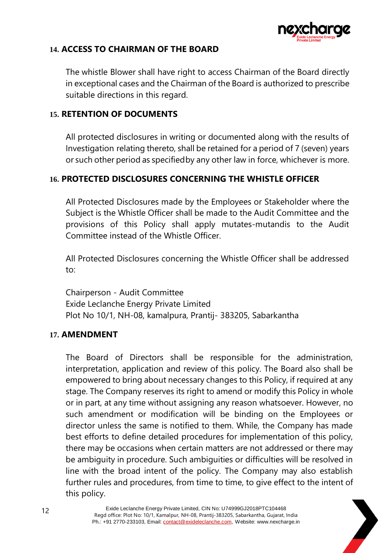

# **14. ACCESS TO CHAIRMAN OF THE BOARD**

The whistle Blower shall have right to access Chairman of the Board directly in exceptional cases and the Chairman of the Board is authorized to prescribe suitable directions in this regard.

# **15. RETENTION OF DOCUMENTS**

All protected disclosures in writing or documented along with the results of Investigation relating thereto, shall be retained for a period of 7 (seven) years or such other period as specifiedby any other law in force, whichever is more.

# **16. PROTECTED DISCLOSURES CONCERNING THE WHISTLE OFFICER**

All Protected Disclosures made by the Employees or Stakeholder where the Subject is the Whistle Officer shall be made to the Audit Committee and the provisions of this Policy shall apply mutates-mutandis to the Audit Committee instead of the Whistle Officer.

All Protected Disclosures concerning the Whistle Officer shall be addressed to:

Chairperson - Audit Committee Exide Leclanche Energy Private Limited Plot No 10/1, NH-08, kamalpura, Prantij- 383205, Sabarkantha

# **17. AMENDMENT**

The Board of Directors shall be responsible for the administration, interpretation, application and review of this policy. The Board also shall be empowered to bring about necessary changes to this Policy, if required at any stage. The Company reserves its right to amend or modify this Policy in whole or in part, at any time without assigning any reason whatsoever. However, no such amendment or modification will be binding on the Employees or director unless the same is notified to them. While, the Company has made best efforts to define detailed procedures for implementation of this policy, there may be occasions when certain matters are not addressed or there may be ambiguity in procedure. Such ambiguities or difficulties will be resolved in line with the broad intent of the policy. The Company may also establish further rules and procedures, from time to time, to give effect to the intent of this policy.